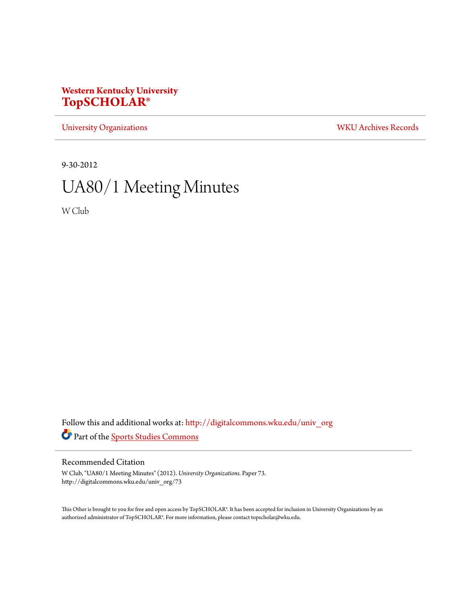# **Western Kentucky University [TopSCHOLAR®](http://digitalcommons.wku.edu?utm_source=digitalcommons.wku.edu%2Funiv_org%2F73&utm_medium=PDF&utm_campaign=PDFCoverPages)**

[University Organizations](http://digitalcommons.wku.edu/univ_org?utm_source=digitalcommons.wku.edu%2Funiv_org%2F73&utm_medium=PDF&utm_campaign=PDFCoverPages) [WKU Archives Records](http://digitalcommons.wku.edu/dlsc_ua_records?utm_source=digitalcommons.wku.edu%2Funiv_org%2F73&utm_medium=PDF&utm_campaign=PDFCoverPages)

9-30-2012

# UA80/1 Meeting Minutes

W Club

Follow this and additional works at: [http://digitalcommons.wku.edu/univ\\_org](http://digitalcommons.wku.edu/univ_org?utm_source=digitalcommons.wku.edu%2Funiv_org%2F73&utm_medium=PDF&utm_campaign=PDFCoverPages) Part of the [Sports Studies Commons](http://network.bepress.com/hgg/discipline/1198?utm_source=digitalcommons.wku.edu%2Funiv_org%2F73&utm_medium=PDF&utm_campaign=PDFCoverPages)

# Recommended Citation

W Club, "UA80/1 Meeting Minutes" (2012). *University Organizations.* Paper 73. http://digitalcommons.wku.edu/univ\_org/73

This Other is brought to you for free and open access by TopSCHOLAR®. It has been accepted for inclusion in University Organizations by an authorized administrator of TopSCHOLAR®. For more information, please contact topscholar@wku.edu.